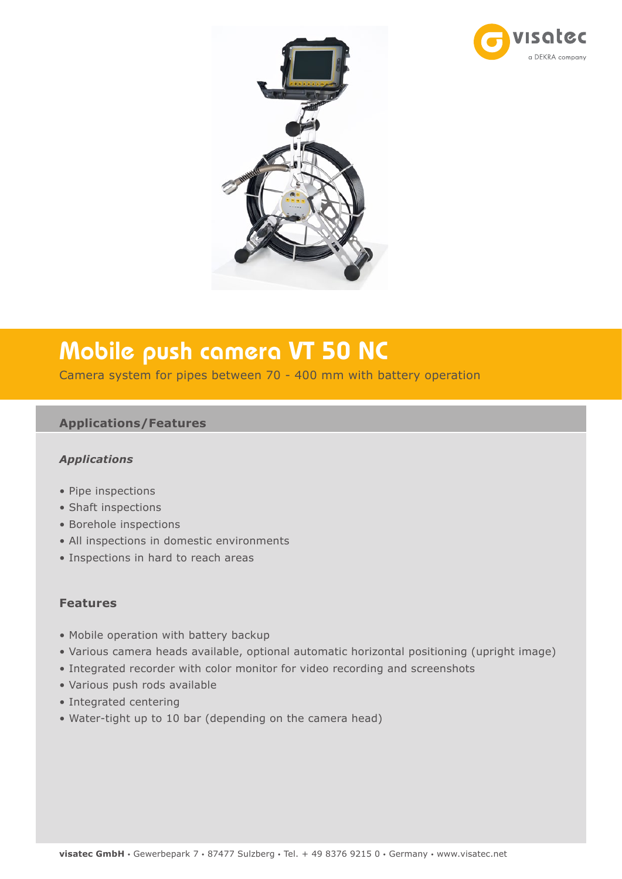



# Mobile push camera VT 50 NC

Camera system for pipes between 70 - 400 mm with battery operation

### **Applications/Features**

#### *Applications*

- Pipe inspections
- Shaft inspections
- Borehole inspections
- All inspections in domestic environments
- Inspections in hard to reach areas

#### **Features**

- Mobile operation with battery backup
- Various camera heads available, optional automatic horizontal positioning (upright image)
- Integrated recorder with color monitor for video recording and screenshots
- Various push rods available
- Integrated centering
- Water-tight up to 10 bar (depending on the camera head)